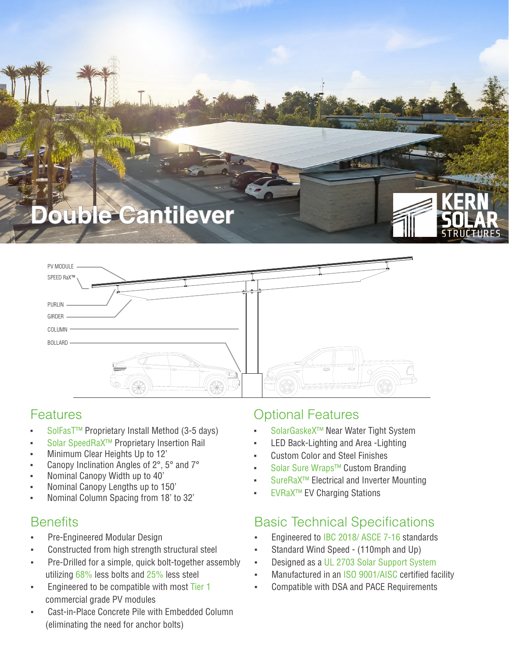



### Features

- SolFasT<sup>™</sup> Proprietary Install Method (3-5 days)
- Solar SpeedRaX<sup>™</sup> Proprietary Insertion Rail
- Minimum Clear Heights Up to 12'
- Canopy Inclination Angles of 2°, 5° and 7°
- Nominal Canopy Width up to 40'
- Nominal Canopy Lengths up to 150'
- Nominal Column Spacing from 18' to 32'

- Pre-Engineered Modular Design
- Constructed from high strength structural steel
- Pre-Drilled for a simple, quick bolt-together assembly utilizing 68% less bolts and 25% less steel
- Engineered to be compatible with most Tier 1 commercial grade PV modules
- Cast-in-Place Concrete Pile with Embedded Column (eliminating the need for anchor bolts)

### Optional Features

- SolarGaskeX™ Near Water Tight System
- LED Back-Lighting and Area -Lighting
- **Custom Color and Steel Finishes**
- Solar Sure Wraps™ Custom Branding
- SureRaX<sup>™</sup> Electrical and Inverter Mounting
- **EVRaX™ EV Charging Stations**

### Benefits **Basic Technical Specifications**

- Engineered to IBC 2018/ ASCE 7-16 standards
- Standard Wind Speed (110mph and Up)
- Designed as a UL 2703 Solar Support System
- Manufactured in an ISO 9001/AISC certified facility
- Compatible with DSA and PACE Requirements